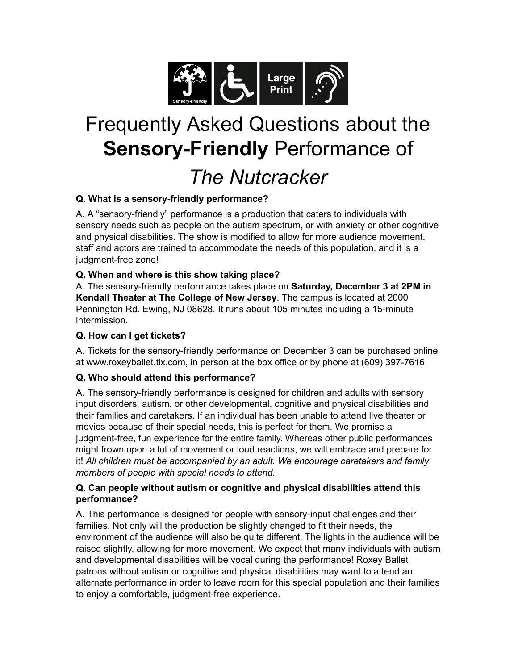

# Frequently Asked Questions about the **Sensory-Friendly** Performance of *The Nutcracker*

# **Q. What is a sensory-friendly performance?**

A. A "sensory-friendly" performance is a production that caters to individuals with sensory needs such as people on the autism spectrum, or with anxiety or other cognitive and physical disabilities. The show is modified to allow for more audience movement, staff and actors are trained to accommodate the needs of this population, and it is a judgment-free zone!

# **Q. When and where is this show taking place?**

A. The sensory-friendly performance takes place on **Saturday, December 3 at 2PM in Kendall Theater at The College of New Jersey**. The campus is located at 2000 Pennington Rd. Ewing, NJ 08628. It runs about 105 minutes including a 15-minute intermission.

#### **Q. How can I get tickets?**

A. Tickets for the sensory-friendly performance on December 3 can be purchased online at www.roxeyballet.tix.com, in person at the box office or by phone at (609) 397-7616.

# **Q. Who should attend this performance?**

A. The sensory-friendly performance is designed for children and adults with sensory input disorders, autism, or other developmental, cognitive and physical disabilities and their families and caretakers. If an individual has been unable to attend live theater or movies because of their special needs, this is perfect for them. We promise a judgment-free, fun experience for the entire family. Whereas other public performances might frown upon a lot of movement or loud reactions, we will embrace and prepare for it! *All children must be accompanied by an adult. We encourage caretakers and family members of people with special needs to attend.*

## **Q. Can people without autism or cognitive and physical disabilities attend this performance?**

A. This performance is designed for people with sensory-input challenges and their families. Not only will the production be slightly changed to fit their needs, the environment of the audience will also be quite different. The lights in the audience will be raised slightly, allowing for more movement. We expect that many individuals with autism and developmental disabilities will be vocal during the performance! Roxey Ballet patrons without autism or cognitive and physical disabilities may want to attend an alternate performance in order to leave room for this special population and their families to enjoy a comfortable, judgment-free experience.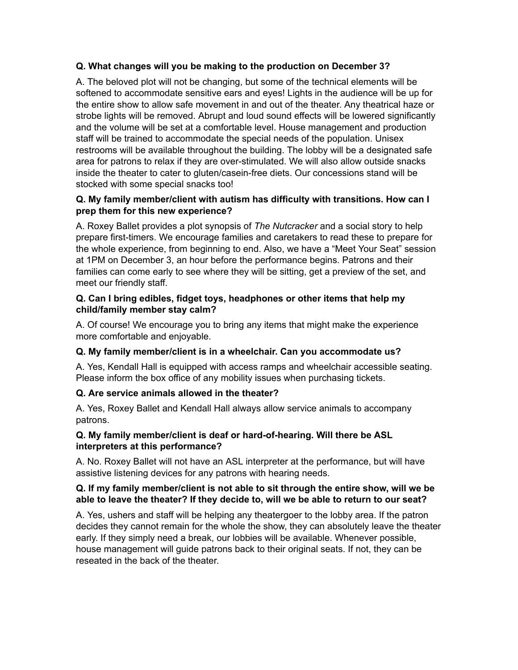## **Q. What changes will you be making to the production on December 3?**

A. The beloved plot will not be changing, but some of the technical elements will be softened to accommodate sensitive ears and eyes! Lights in the audience will be up for the entire show to allow safe movement in and out of the theater. Any theatrical haze or strobe lights will be removed. Abrupt and loud sound effects will be lowered significantly and the volume will be set at a comfortable level. House management and production staff will be trained to accommodate the special needs of the population. Unisex restrooms will be available throughout the building. The lobby will be a designated safe area for patrons to relax if they are over-stimulated. We will also allow outside snacks inside the theater to cater to gluten/casein-free diets. Our concessions stand will be stocked with some special snacks too!

#### **Q. My family member/client with autism has difficulty with transitions. How can I prep them for this new experience?**

A. Roxey Ballet provides a plot synopsis of *The Nutcracker* and a social story to help prepare first-timers. We encourage families and caretakers to read these to prepare for the whole experience, from beginning to end. Also, we have a "Meet Your Seat" session at 1PM on December 3, an hour before the performance begins. Patrons and their families can come early to see where they will be sitting, get a preview of the set, and meet our friendly staff.

#### **Q. Can I bring edibles, fidget toys, headphones or other items that help my child/family member stay calm?**

A. Of course! We encourage you to bring any items that might make the experience more comfortable and enjoyable.

#### **Q. My family member/client is in a wheelchair. Can you accommodate us?**

A. Yes, Kendall Hall is equipped with access ramps and wheelchair accessible seating. Please inform the box office of any mobility issues when purchasing tickets.

#### **Q. Are service animals allowed in the theater?**

A. Yes, Roxey Ballet and Kendall Hall always allow service animals to accompany patrons.

## **Q. My family member/client is deaf or hard-of-hearing. Will there be ASL interpreters at this performance?**

A. No. Roxey Ballet will not have an ASL interpreter at the performance, but will have assistive listening devices for any patrons with hearing needs.

## **Q. If my family member/client is not able to sit through the entire show, will we be able to leave the theater? If they decide to, will we be able to return to our seat?**

A. Yes, ushers and staff will be helping any theatergoer to the lobby area. If the patron decides they cannot remain for the whole the show, they can absolutely leave the theater early. If they simply need a break, our lobbies will be available. Whenever possible, house management will guide patrons back to their original seats. If not, they can be reseated in the back of the theater.